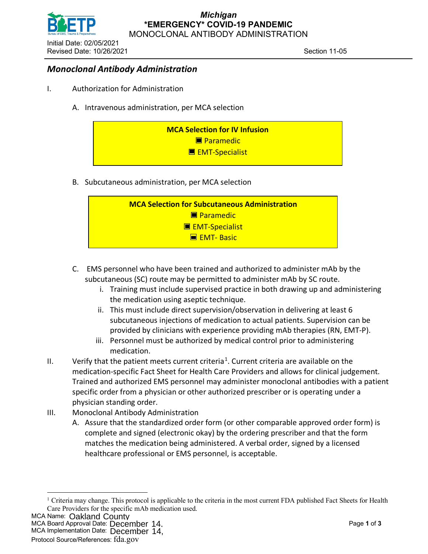

## *Monoclonal Antibody Administration*

- I. Authorization for Administration
	- A. Intravenous administration, per MCA selection



B. Subcutaneous administration, per MCA selection



- C. EMS personnel who have been trained and authorized to administer mAb by the subcutaneous (SC) route may be permitted to administer mAb by SC route.
	- i. Training must include supervised practice in both drawing up and administering the medication using aseptic technique.
	- ii. This must include direct supervision/observation in delivering at least 6 subcutaneous injections of medication to actual patients. Supervision can be provided by clinicians with experience providing mAb therapies (RN, EMT-P).
	- iii. Personnel must be authorized by medical control prior to administering medication.
- II. Verify that the patient meets current criteria<sup>[1](#page-0-0)</sup>. Current criteria are available on the medication-specific Fact Sheet for Health Care Providers and allows for clinical judgement. Trained and authorized EMS personnel may administer monoclonal antibodies with a patient specific order from a physician or other authorized prescriber or is operating under a physician standing order.
- III. Monoclonal Antibody Administration
	- A. Assure that the standardized order form (or other comparable approved order form) is complete and signed (electronic okay) by the ordering prescriber and that the form matches the medication being administered. A verbal order, signed by a licensed healthcare professional or EMS personnel, is acceptable.

<span id="page-0-0"></span>**MCA Name: Oakland County** 

MCA Board Approval Date: Page **1** of **3**

MCA Implementation Date: December 14, Oakland County<br>pproval Date: December 14,<br><sup>entation Date:</sup> December 14,

<sup>&</sup>lt;sup>1</sup> Criteria may change. This protocol is applicable to the criteria in the most current FDA published Fact Sheets for Health Care Providers for the specific mAb medication used.

Protocol Source/References: fda.gov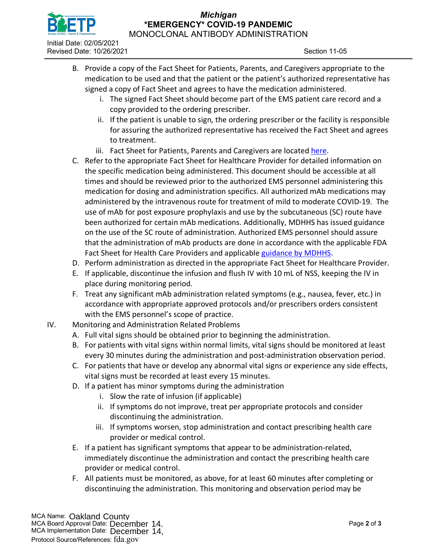

## *Michigan* **\*EMERGENCY\* COVID-19 PANDEMIC**

MONOCLONAL ANTIBODY ADMINISTRATION

- B. Provide a copy of the Fact Sheet for Patients, Parents, and Caregivers appropriate to the medication to be used and that the patient or the patient's authorized representative has signed a copy of Fact Sheet and agrees to have the medication administered.
	- i. The signed Fact Sheet should become part of the EMS patient care record and a copy provided to the ordering prescriber.
	- ii. If the patient is unable to sign, the ordering prescriber or the facility is responsible for assuring the authorized representative has received the Fact Sheet and agrees to treatment.
	- iii. Fact Sheet for Patients, Parents and Caregivers are located [here.](https://www.michigan.gov/coronavirus/0,9753,7-406-98178_106077_106091---,00.html)
- C. Refer to the appropriate Fact Sheet for Healthcare Provider for detailed information on the specific medication being administered. This document should be accessible at all times and should be reviewed prior to the authorized EMS personnel administering this medication for dosing and administration specifics. All authorized mAb medications may administered by the intravenous route for treatment of mild to moderate COVID-19. The use of mAb for post exposure prophylaxis and use by the subcutaneous (SC) route have been authorized for certain mAb medications. Additionally, MDHHS has issued guidance on the use of the SC route of administration. Authorized EMS personnel should assure that the administration of mAb products are done in accordance with the applicable FDA Fact Sheet for Health Care Providers and applicable [guidance by MDHHS.](https://www.michigan.gov/coronavirus/0,9753,7-406-98178_106077_106091---,00.html)
- D. Perform administration as directed in the appropriate Fact Sheet for Healthcare Provider.
- E. If applicable, discontinue the infusion and flush IV with 10 mL of NSS, keeping the IV in place during monitoring period.
- F. Treat any significant mAb administration related symptoms (e.g., nausea, fever, etc.) in accordance with appropriate approved protocols and/or prescribers orders consistent with the EMS personnel's scope of practice.
- IV. Monitoring and Administration Related Problems
	- A. Full vital signs should be obtained prior to beginning the administration.
	- B. For patients with vital signs within normal limits, vital signs should be monitored at least every 30 minutes during the administration and post-administration observation period.
	- C. For patients that have or develop any abnormal vital signs or experience any side effects, vital signs must be recorded at least every 15 minutes.
	- D. If a patient has minor symptoms during the administration
		- i. Slow the rate of infusion (if applicable)
		- ii. If symptoms do not improve, treat per appropriate protocols and consider discontinuing the administration.
		- iii. If symptoms worsen, stop administration and contact prescribing health care provider or medical control.
	- E. If a patient has significant symptoms that appear to be administration-related, immediately discontinue the administration and contact the prescribing health care provider or medical control.
	- F. All patients must be monitored, as above, for at least 60 minutes after completing or discontinuing the administration. This monitoring and observation period may be